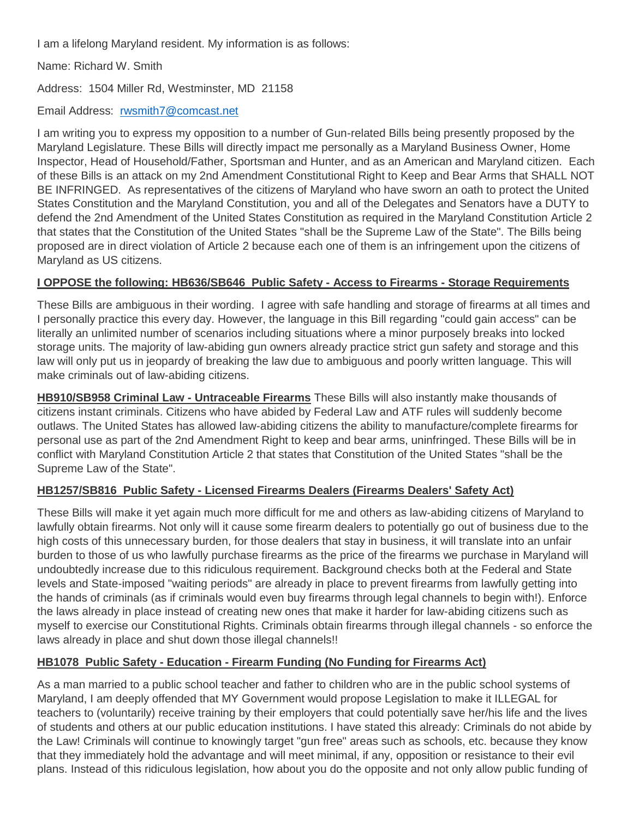I am a lifelong Maryland resident. My information is as follows:

Name: Richard W. Smith

Address: 1504 Miller Rd, Westminster, MD 21158

Email Address: [rwsmith7@comcast.net](mailto:rwsmith7@comcast.net)

I am writing you to express my opposition to a number of Gun-related Bills being presently proposed by the Maryland Legislature. These Bills will directly impact me personally as a Maryland Business Owner, Home Inspector, Head of Household/Father, Sportsman and Hunter, and as an American and Maryland citizen. Each of these Bills is an attack on my 2nd Amendment Constitutional Right to Keep and Bear Arms that SHALL NOT BE INFRINGED. As representatives of the citizens of Maryland who have sworn an oath to protect the United States Constitution and the Maryland Constitution, you and all of the Delegates and Senators have a DUTY to defend the 2nd Amendment of the United States Constitution as required in the Maryland Constitution Article 2 that states that the Constitution of the United States "shall be the Supreme Law of the State". The Bills being proposed are in direct violation of Article 2 because each one of them is an infringement upon the citizens of Maryland as US citizens.

## **I OPPOSE the following: HB636/SB646 Public Safety - Access to Firearms - Storage Requirements**

These Bills are ambiguous in their wording. I agree with safe handling and storage of firearms at all times and I personally practice this every day. However, the language in this Bill regarding "could gain access" can be literally an unlimited number of scenarios including situations where a minor purposely breaks into locked storage units. The majority of law-abiding gun owners already practice strict gun safety and storage and this law will only put us in jeopardy of breaking the law due to ambiguous and poorly written language. This will make criminals out of law-abiding citizens.

**HB910/SB958 Criminal Law - Untraceable Firearms** These Bills will also instantly make thousands of citizens instant criminals. Citizens who have abided by Federal Law and ATF rules will suddenly become outlaws. The United States has allowed law-abiding citizens the ability to manufacture/complete firearms for personal use as part of the 2nd Amendment Right to keep and bear arms, uninfringed. These Bills will be in conflict with Maryland Constitution Article 2 that states that Constitution of the United States "shall be the Supreme Law of the State".

## **HB1257/SB816 Public Safety - Licensed Firearms Dealers (Firearms Dealers' Safety Act)**

These Bills will make it yet again much more difficult for me and others as law-abiding citizens of Maryland to lawfully obtain firearms. Not only will it cause some firearm dealers to potentially go out of business due to the high costs of this unnecessary burden, for those dealers that stay in business, it will translate into an unfair burden to those of us who lawfully purchase firearms as the price of the firearms we purchase in Maryland will undoubtedly increase due to this ridiculous requirement. Background checks both at the Federal and State levels and State-imposed "waiting periods" are already in place to prevent firearms from lawfully getting into the hands of criminals (as if criminals would even buy firearms through legal channels to begin with!). Enforce the laws already in place instead of creating new ones that make it harder for law-abiding citizens such as myself to exercise our Constitutional Rights. Criminals obtain firearms through illegal channels - so enforce the laws already in place and shut down those illegal channels!!

## **HB1078 Public Safety - Education - Firearm Funding (No Funding for Firearms Act)**

As a man married to a public school teacher and father to children who are in the public school systems of Maryland, I am deeply offended that MY Government would propose Legislation to make it ILLEGAL for teachers to (voluntarily) receive training by their employers that could potentially save her/his life and the lives of students and others at our public education institutions. I have stated this already: Criminals do not abide by the Law! Criminals will continue to knowingly target "gun free" areas such as schools, etc. because they know that they immediately hold the advantage and will meet minimal, if any, opposition or resistance to their evil plans. Instead of this ridiculous legislation, how about you do the opposite and not only allow public funding of